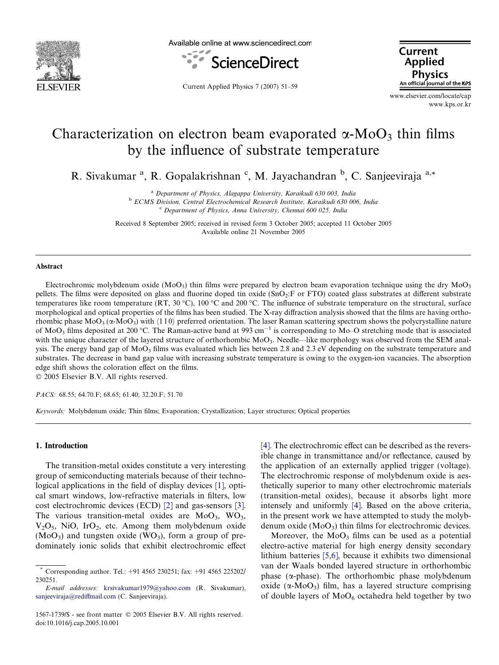

Available online at www.sciencedirect.com



**Current Applied Physics** An official journal of the KPS

Current Applied Physics 7 (2007) 51–59

www.elsevier.com/locate/cap www.kps.or.kr

# Characterization on electron beam evaporated  $\alpha$ -MoO<sub>3</sub> thin films by the influence of substrate temperature

R. Sivakumar<sup>a</sup>, R. Gopalakrishnan<sup>c</sup>, M. Jayachandran<sup>b</sup>, C. Sanjeeviraja<sup>a,\*</sup>

<sup>a</sup> Department of Physics, Alagappa University, Karaikudi 630 003, India <sup>b</sup> ECMS Division, Central Electrochemical Research Institute, Karaikudi 630 006, India

 $c$  Department of Physics, Anna University, Chennai 600 025, India

Received 8 September 2005; received in revised form 3 October 2005; accepted 11 October 2005 Available online 21 November 2005

#### Abstract

Electrochromic molybdenum oxide (MoO<sub>3</sub>) thin films were prepared by electron beam evaporation technique using the dry MoO<sub>3</sub> pellets. The films were deposited on glass and fluorine doped tin oxide (SnO<sub>2</sub>:F or FTO) coated glass substrates at different substrate temperatures like room temperature (RT, 30 °C), 100 °C and 200 °C. The influence of substrate temperature on the structural, surface morphological and optical properties of the films has been studied. The X-ray diffraction analysis showed that the films are having orthorhombic phase  $Mo_{3}(\alpha-MoO_{3})$  with  $\langle 110 \rangle$  preferred orientation. The laser Raman scattering spectrum shows the polycrystalline nature of MoO<sub>3</sub> films deposited at 200 °C. The Raman-active band at 993 cm<sup>-1</sup> is corresponding to Mo-O stretching mode that is associated with the unique character of the layered structure of orthorhombic MoO<sub>3</sub>. Needle—like morphology was observed from the SEM analysis. The energy band gap of MoO<sub>3</sub> films was evaluated which lies between 2.8 and 2.3 eV depending on the substrate temperature and substrates. The decrease in band gap value with increasing substrate temperature is owing to the oxygen-ion vacancies. The absorption edge shift shows the coloration effect on the films.

2005 Elsevier B.V. All rights reserved.

PACS: 68.55; 64.70.F; 68.65; 61.40; 32.20.F; 51.70

Keywords: Molybdenum oxide; Thin films; Evaporation; Crystallization; Layer structures; Optical properties

## 1. Introduction

The transition-metal oxides constitute a very interesting group of semiconducting materials because of their technological applications in the field of display devices [\[1\]](#page-8-0), optical smart windows, low-refractive materials in filters, low cost electrochromic devices (ECD) [\[2\]](#page-8-0) and gas-sensors [\[3\].](#page-8-0) The various transition-metal oxides are  $MoO<sub>3</sub>$ , WO<sub>3</sub>,  $V<sub>2</sub>O<sub>5</sub>$ , NiO, IrO<sub>2</sub>, etc. Among them molybdenum oxide  $(MoO<sub>3</sub>)$  and tungsten oxide  $(WO<sub>3</sub>)$ , form a group of predominately ionic solids that exhibit electrochromic effect [\[4\].](#page-8-0) The electrochromic effect can be described as the reversible change in transmittance and/or reflectance, caused by the application of an externally applied trigger (voltage). The electrochromic response of molybdenum oxide is aesthetically superior to many other electrochromic materials (transition-metal oxides), because it absorbs light more intensely and uniformly [\[4\]](#page-8-0). Based on the above criteria, in the present work we have attempted to study the molybdenum oxide  $(MoO<sub>3</sub>)$  thin films for electrochromic devices.

Moreover, the  $MoO<sub>3</sub>$  films can be used as a potential electro-active material for high energy density secondary lithium batteries [\[5,6\]](#page-8-0), because it exhibits two dimensional van der Waals bonded layered structure in orthorhombic phase ( $\alpha$ -phase). The orthorhombic phase molybdenum oxide ( $\alpha$ -MoO<sub>3</sub>) film, has a layered structure comprising of double layers of  $MoO<sub>6</sub>$  octahedra held together by two

<sup>\*</sup> Corresponding author. Tel.: +91 4565 230251; fax: +91 4565 225202/ 230251.

E-mail addresses: [krsivakumar1979@yahoo.com](mailto:krsivakumar1979@yahoo.com) (R. Sivakumar), [sanjeeviraja@rediffmail.com](mailto:sanjeeviraja@rediffmail.com) (C. Sanjeeviraja).

<sup>1567-1739/\$ -</sup> see front matter © 2005 Elsevier B.V. All rights reserved. doi:10.1016/j.cap.2005.10.001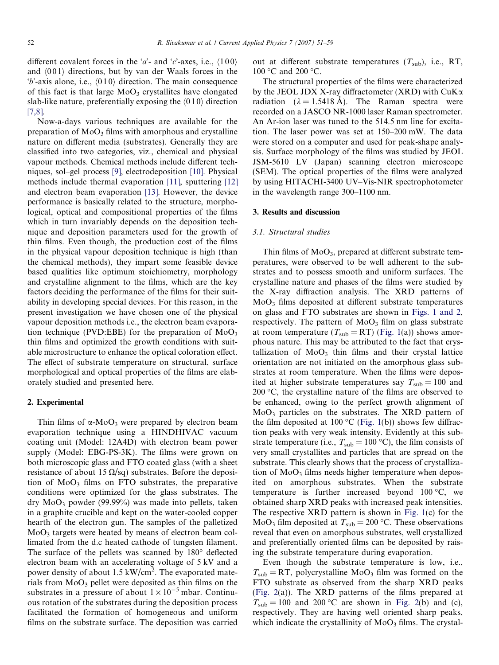different covalent forces in the 'a'- and 'c'-axes, i.e.,  $\langle 100 \rangle$ and  $\langle 001 \rangle$  directions, but by van der Waals forces in the  $b'$ -axis alone, i.e.,  $\langle 010 \rangle$  direction. The main consequence of this fact is that large  $MoO<sub>3</sub>$  crystallites have elongated slab-like nature, preferentially exposing the  $\langle 010 \rangle$  direction [\[7,8\].](#page-8-0)

Now-a-days various techniques are available for the preparation of  $MoO<sub>3</sub>$  films with amorphous and crystalline nature on different media (substrates). Generally they are classified into two categories, viz., chemical and physical vapour methods. Chemical methods include different techniques, sol–gel process [\[9\]](#page-8-0), electrodeposition [\[10\]](#page-8-0). Physical methods include thermal evaporation [\[11\],](#page-8-0) sputtering [\[12\]](#page-8-0) and electron beam evaporation [\[13\]](#page-8-0). However, the device performance is basically related to the structure, morphological, optical and compositional properties of the films which in turn invariably depends on the deposition technique and deposition parameters used for the growth of thin films. Even though, the production cost of the films in the physical vapour deposition technique is high (than the chemical methods), they impart some feasible device based qualities like optimum stoichiometry, morphology and crystalline alignment to the films, which are the key factors deciding the performance of the films for their suitability in developing special devices. For this reason, in the present investigation we have chosen one of the physical vapour deposition methods i.e., the electron beam evaporation technique (PVD:EBE) for the preparation of  $MoO<sub>3</sub>$ thin films and optimized the growth conditions with suitable microstructure to enhance the optical coloration effect. The effect of substrate temperature on structural, surface morphological and optical properties of the films are elaborately studied and presented here.

#### 2. Experimental

Thin films of  $\alpha$ -MoO<sub>3</sub> were prepared by electron beam evaporation technique using a HINDHIVAC vacuum coating unit (Model: 12A4D) with electron beam power supply (Model: EBG-PS-3K). The films were grown on both microscopic glass and FTO coated glass (with a sheet resistance of about 15  $\Omega$ /sq) substrates. Before the deposition of  $MoO<sub>3</sub>$  films on FTO substrates, the preparative conditions were optimized for the glass substrates. The  $\text{dry MoO}_3$  powder (99.99%) was made into pellets, taken in a graphite crucible and kept on the water-cooled copper hearth of the electron gun. The samples of the palletized MoO3 targets were heated by means of electron beam collimated from the d.c heated cathode of tungsten filament. The surface of the pellets was scanned by  $180^\circ$  deflected electron beam with an accelerating voltage of 5 kV and a power density of about 1.5 kW/cm<sup>2</sup>. The evaporated materials from  $MoO<sub>3</sub>$  pellet were deposited as thin films on the substrates in a pressure of about  $1 \times 10^{-5}$  mbar. Continuous rotation of the substrates during the deposition process facilitated the formation of homogeneous and uniform films on the substrate surface. The deposition was carried

out at different substrate temperatures  $(T_{sub})$ , i.e., RT, 100 °C and 200 °C.

The structural properties of the films were characterized by the JEOL JDX X-ray diffractometer (XRD) with  $CuK\alpha$ radiation  $(\lambda = 1.5418 \text{ A})$ . The Raman spectra were recorded on a JASCO NR-1000 laser Raman spectrometer. An Ar-ion laser was tuned to the 514.5 nm line for excitation. The laser power was set at 150–200 mW. The data were stored on a computer and used for peak-shape analysis. Surface morphology of the films was studied by JEOL JSM-5610 LV (Japan) scanning electron microscope (SEM). The optical properties of the films were analyzed by using HITACHI-3400 UV–Vis-NIR spectrophotometer in the wavelength range 300–1100 nm.

## 3. Results and discussion

#### 3.1. Structural studies

Thin films of  $MoO<sub>3</sub>$ , prepared at different substrate temperatures, were observed to be well adherent to the substrates and to possess smooth and uniform surfaces. The crystalline nature and phases of the films were studied by the X-ray diffraction analysis. The XRD patterns of MoO3 films deposited at different substrate temperatures on glass and FTO substrates are shown in [Figs. 1 and 2](#page-2-0), respectively. The pattern of  $MoO<sub>3</sub>$  film on glass substrate at room temperature ( $T_{sub} = RT$ ) [\(Fig. 1](#page-2-0)(a)) shows amorphous nature. This may be attributed to the fact that crystallization of  $MoO<sub>3</sub>$  thin films and their crystal lattice orientation are not initiated on the amorphous glass substrates at room temperature. When the films were deposited at higher substrate temperatures say  $T_{sub} = 100$  and  $200 \degree C$ , the crystalline nature of the films are observed to be enhanced, owing to the perfect growth alignment of  $MoO<sub>3</sub>$  particles on the substrates. The XRD pattern of the film deposited at 100 °C ([Fig. 1\(](#page-2-0)b)) shows few diffraction peaks with very weak intensity. Evidently at this substrate temperature (i.e.,  $T_{sub} = 100 \degree C$ ), the film consists of very small crystallites and particles that are spread on the substrate. This clearly shows that the process of crystallization of  $MoO<sub>3</sub>$  films needs higher temperature when deposited on amorphous substrates. When the substrate temperature is further increased beyond  $100^{\circ}$ C, we obtained sharp XRD peaks with increased peak intensities. The respective XRD pattern is shown in [Fig. 1](#page-2-0)(c) for the MoO<sub>3</sub> film deposited at  $T_{\text{sub}} = 200$  °C. These observations reveal that even on amorphous substrates, well crystallized and preferentially oriented films can be deposited by raising the substrate temperature during evaporation.

Even though the substrate temperature is low, i.e.,  $T_{sub} = RT$ , polycrystalline MoO<sub>3</sub> film was formed on the FTO substrate as observed from the sharp XRD peaks [\(Fig. 2\(](#page-2-0)a)). The XRD patterns of the films prepared at  $T_{sub} = 100$  and 200 °C are shown in [Fig. 2](#page-2-0)(b) and (c), respectively. They are having well oriented sharp peaks, which indicate the crystallinity of  $MoO<sub>3</sub>$  films. The crystal-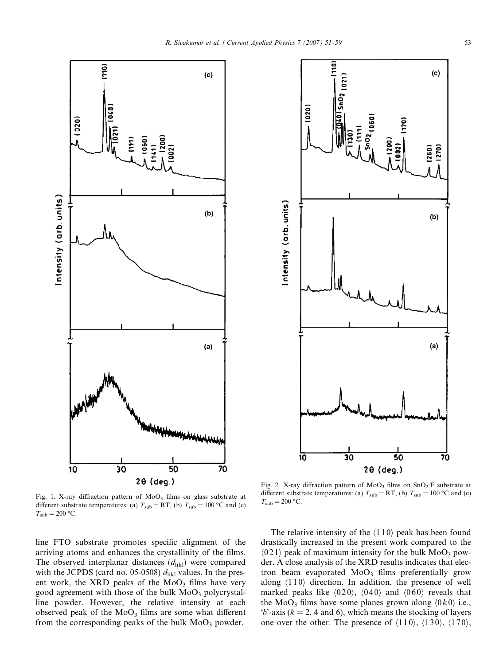<span id="page-2-0"></span>



Fig. 1. X-ray diffraction pattern of  $MoO<sub>3</sub>$  films on glass substrate at different substrate temperatures: (a)  $T_{\text{sub}} = RT$ , (b)  $T_{\text{sub}} = 100 \text{ °C}$  and (c)  $T_{\rm sub} = 200$  °C.

line FTO substrate promotes specific alignment of the arriving atoms and enhances the crystallinity of the films. The observed interplanar distances  $(d_{hkl})$  were compared with the JCPDS (card no. 05-0508)  $d_{hkl}$  values. In the present work, the XRD peaks of the  $MoO<sub>3</sub>$  films have very good agreement with those of the bulk  $MoO<sub>3</sub>$  polycrystalline powder. However, the relative intensity at each observed peak of the  $MoO<sub>3</sub>$  films are some what different from the corresponding peaks of the bulk  $MoO<sub>3</sub>$  powder.

Fig. 2. X-ray diffraction pattern of  $MoO<sub>3</sub>$  films on  $SnO<sub>2</sub>:F$  substrate at different substrate temperatures: (a)  $T_{sub} = RT$ , (b)  $T_{sub} = 100 °C$  and (c)  $T_{\text{sub}} = 200$  °C.

The relative intensity of the  $\langle 110 \rangle$  peak has been found drastically increased in the present work compared to the  $\langle 021 \rangle$  peak of maximum intensity for the bulk MoO<sub>3</sub> powder. A close analysis of the XRD results indicates that electron beam evaporated  $MoO<sub>3</sub>$  films preferentially grow along  $\langle 110 \rangle$  direction. In addition, the presence of well marked peaks like  $\langle 020 \rangle$ ,  $\langle 040 \rangle$  and  $\langle 060 \rangle$  reveals that the MoO<sub>3</sub> films have some planes grown along  $(0k0)$  i.e.,  $b'$ -axis ( $k = 2$ , 4 and 6), which means the stocking of layers one over the other. The presence of  $\langle 110 \rangle$ ,  $\langle 130 \rangle$ ,  $\langle 170 \rangle$ ,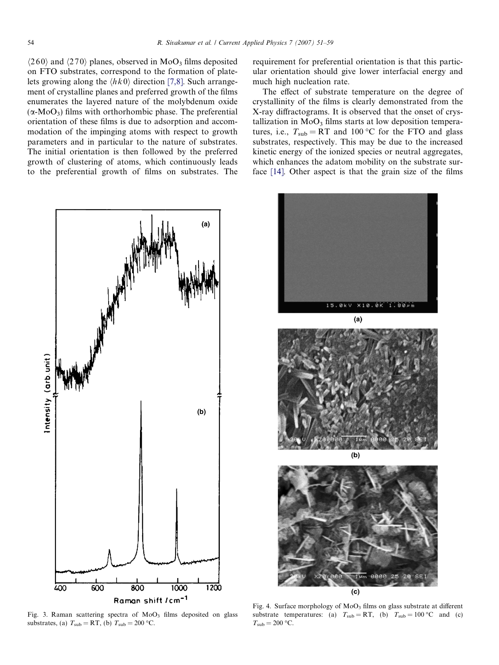<span id="page-3-0"></span> $\langle 260 \rangle$  and  $\langle 270 \rangle$  planes, observed in MoO<sub>3</sub> films deposited on FTO substrates, correspond to the formation of platelets growing along the  $\langle hk0 \rangle$  direction [\[7,8\]](#page-8-0). Such arrangement of crystalline planes and preferred growth of the films enumerates the layered nature of the molybdenum oxide  $(\alpha-MoO_3)$  films with orthorhombic phase. The preferential orientation of these films is due to adsorption and accommodation of the impinging atoms with respect to growth parameters and in particular to the nature of substrates. The initial orientation is then followed by the preferred growth of clustering of atoms, which continuously leads to the preferential growth of films on substrates. The



Fig. 3. Raman scattering spectra of  $MoO<sub>3</sub>$  films deposited on glass substrates, (a)  $T_{\text{sub}} = RT$ , (b)  $T_{\text{sub}} = 200$  °C.

requirement for preferential orientation is that this particular orientation should give lower interfacial energy and much high nucleation rate.

The effect of substrate temperature on the degree of crystallinity of the films is clearly demonstrated from the X-ray diffractograms. It is observed that the onset of crystallization in  $MoO<sub>3</sub>$  films starts at low deposition temperatures, i.e.,  $T_{sub} = RT$  and 100 °C for the FTO and glass substrates, respectively. This may be due to the increased kinetic energy of the ionized species or neutral aggregates, which enhances the adatom mobility on the substrate surface [\[14\].](#page-8-0) Other aspect is that the grain size of the films



Fig. 4. Surface morphology of  $MoO<sub>3</sub>$  films on glass substrate at different substrate temperatures: (a)  $T_{sub} = RT$ , (b)  $T_{sub} = 100 °C$  and (c)  $T_{\text{sub}} = 200$  °C.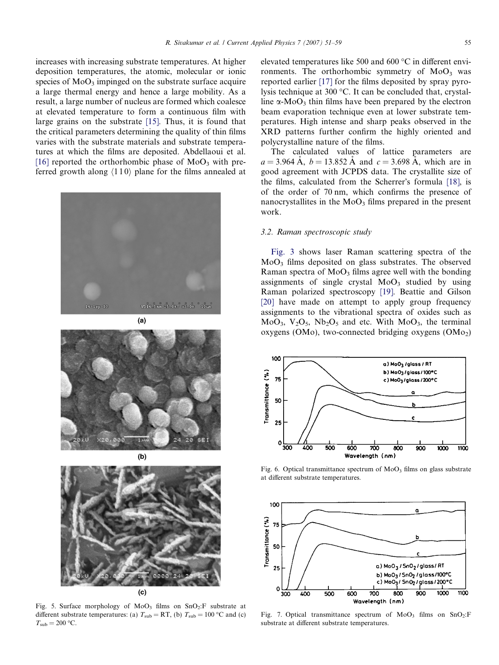<span id="page-4-0"></span>increases with increasing substrate temperatures. At higher deposition temperatures, the atomic, molecular or ionic species of  $MoO<sub>3</sub>$  impinged on the substrate surface acquire a large thermal energy and hence a large mobility. As a result, a large number of nucleus are formed which coalesce at elevated temperature to form a continuous film with large grains on the substrate [\[15\].](#page-8-0) Thus, it is found that the critical parameters determining the quality of thin films varies with the substrate materials and substrate temperatures at which the films are deposited. Abdellaoui et al. [\[16\]](#page-8-0) reported the orthorhombic phase of  $MoO<sub>3</sub>$  with preferred growth along  $\langle 110 \rangle$  plane for the films annealed at





Fig. 5. Surface morphology of  $MoO<sub>3</sub>$  films on  $SnO<sub>2</sub>:F$  substrate at different substrate temperatures: (a)  $T_{\text{sub}} = RT$ , (b)  $T_{\text{sub}} = 100$  °C and (c)  $T_{\rm sub} = 200$  °C.

elevated temperatures like 500 and 600  $\mathrm{^{\circ}C}$  in different environments. The orthorhombic symmetry of  $MoO<sub>3</sub>$  was reported earlier [\[17\]](#page-8-0) for the films deposited by spray pyrolysis technique at 300  $\degree$ C. It can be concluded that, crystalline  $\alpha$ -MoO<sub>3</sub> thin films have been prepared by the electron beam evaporation technique even at lower substrate temperatures. High intense and sharp peaks observed in the XRD patterns further confirm the highly oriented and polycrystalline nature of the films.

The calculated values of lattice parameters are  $a = 3.964$  Å,  $b = 13.852$  Å and  $c = 3.698$  Å, which are in good agreement with JCPDS data. The crystallite size of the films, calculated from the Scherrer's formula [\[18\],](#page-8-0) is of the order of 70 nm, which confirms the presence of nanocrystallites in the  $MoO<sub>3</sub>$  films prepared in the present work.

### 3.2. Raman spectroscopic study

[Fig. 3](#page-3-0) shows laser Raman scattering spectra of the MoO3 films deposited on glass substrates. The observed Raman spectra of  $MoO<sub>3</sub>$  films agree well with the bonding assignments of single crystal  $MoO<sub>3</sub>$  studied by using Raman polarized spectroscopy [\[19\]](#page-8-0). Beattie and Gilson [\[20\]](#page-8-0) have made on attempt to apply group frequency assignments to the vibrational spectra of oxides such as  $MoO<sub>3</sub>, V<sub>2</sub>O<sub>5</sub>, Nb<sub>2</sub>O<sub>5</sub>$  and etc. With  $MoO<sub>3</sub>$ , the terminal oxygens (OMo), two-connected bridging oxygens (OMo<sub>2</sub>)



Fig. 6. Optical transmittance spectrum of  $MoO<sub>3</sub>$  films on glass substrate at different substrate temperatures.



Fig. 7. Optical transmittance spectrum of  $MoO<sub>3</sub>$  films on  $SnO<sub>2</sub>:F$ substrate at different substrate temperatures.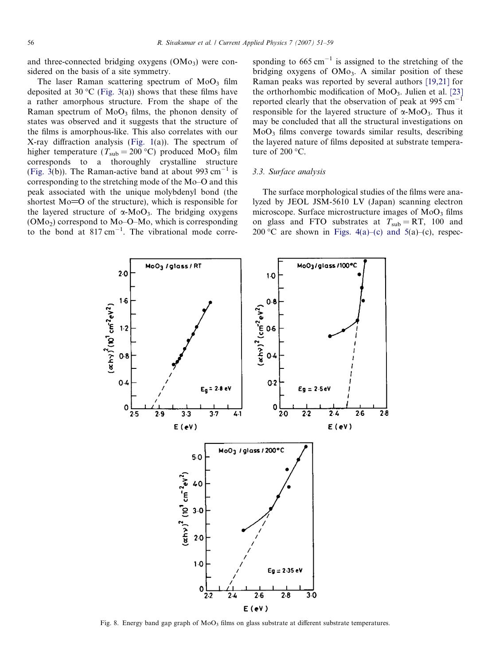<span id="page-5-0"></span>and three-connected bridging oxygens  $(OM<sub>03</sub>)$  were considered on the basis of a site symmetry.

The laser Raman scattering spectrum of  $MoO<sub>3</sub>$  film deposited at 30 °C ([Fig. 3\(](#page-3-0)a)) shows that these films have a rather amorphous structure. From the shape of the Raman spectrum of  $MoO<sub>3</sub>$  films, the phonon density of states was observed and it suggests that the structure of the films is amorphous-like. This also correlates with our X-ray diffraction analysis [\(Fig. 1](#page-2-0)(a)). The spectrum of higher temperature ( $T_{sub} = 200 °C$ ) produced MoO<sub>3</sub> film corresponds to a thoroughly crystalline structure [\(Fig. 3\(](#page-3-0)b)). The Raman-active band at about 993 cm<sup>-1</sup> is corresponding to the stretching mode of the Mo–O and this peak associated with the unique molybdenyl bond (the shortest  $Mo=O$  of the structure), which is responsible for the layered structure of  $\alpha$ -MoO<sub>3</sub>. The bridging oxygens (OMo2) correspond to Mo–O–Mo, which is corresponding to the bond at  $817 \text{ cm}^{-1}$ . The vibrational mode corresponding to  $665 \text{ cm}^{-1}$  is assigned to the stretching of the bridging oxygens of  $OMo<sub>3</sub>$ . A similar position of these Raman peaks was reported by several authors [\[19,21\]](#page-8-0) for the orthorhombic modification of  $MoO<sub>3</sub>$ . Julien et al. [\[23\]](#page-8-0) reported clearly that the observation of peak at  $995 \text{ cm}^{-1}$ responsible for the layered structure of  $\alpha$ -MoO<sub>3</sub>. Thus it may be concluded that all the structural investigations on  $MoO<sub>3</sub>$  films converge towards similar results, describing the layered nature of films deposited at substrate temperature of  $200 °C$ .

#### 3.3. Surface analysis

The surface morphological studies of the films were analyzed by JEOL JSM-5610 LV (Japan) scanning electron microscope. Surface microstructure images of  $MoO<sub>3</sub>$  films on glass and FTO substrates at  $T_{sub} = RT$ , 100 and 200 °C are shown in [Figs. 4\(a\)–\(c\) and 5\(](#page-3-0)a)–(c), respec-



Fig. 8. Energy band gap graph of  $MoO<sub>3</sub>$  films on glass substrate at different substrate temperatures.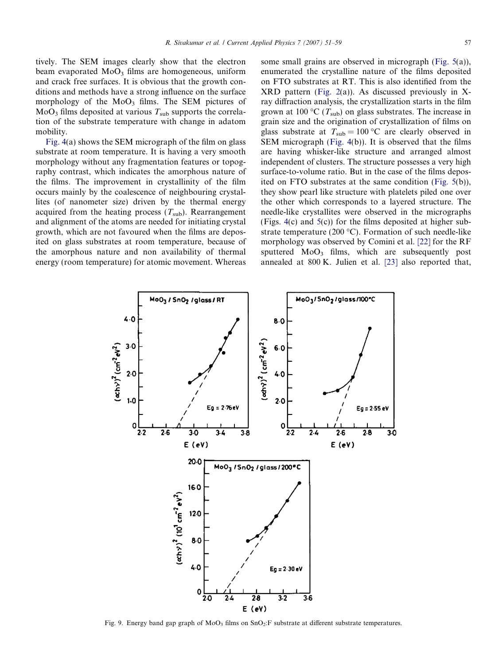tively. The SEM images clearly show that the electron beam evaporated  $MoO<sub>3</sub>$  films are homogeneous, uniform and crack free surfaces. It is obvious that the growth conditions and methods have a strong influence on the surface morphology of the  $MoO<sub>3</sub>$  films. The SEM pictures of  $MoO<sub>3</sub>$  films deposited at various  $T<sub>sub</sub>$  supports the correlation of the substrate temperature with change in adatom mobility.

[Fig. 4](#page-3-0)(a) shows the SEM micrograph of the film on glass substrate at room temperature. It is having a very smooth morphology without any fragmentation features or topography contrast, which indicates the amorphous nature of the films. The improvement in crystallinity of the film occurs mainly by the coalescence of neighbouring crystallites (of nanometer size) driven by the thermal energy acquired from the heating process  $(T_{sub})$ . Rearrangement and alignment of the atoms are needed for initiating crystal growth, which are not favoured when the films are deposited on glass substrates at room temperature, because of the amorphous nature and non availability of thermal energy (room temperature) for atomic movement. Whereas some small grains are observed in micrograph [\(Fig. 5\(](#page-4-0)a)), enumerated the crystalline nature of the films deposited on FTO substrates at RT. This is also identified from the XRD pattern [\(Fig. 2](#page-2-0)(a)). As discussed previously in Xray diffraction analysis, the crystallization starts in the film grown at 100 °C ( $T_{\text{sub}}$ ) on glass substrates. The increase in grain size and the origination of crystallization of films on glass substrate at  $T_{\text{sub}} = 100 \degree \text{C}$  are clearly observed in SEM micrograph ([Fig. 4\(](#page-3-0)b)). It is observed that the films are having whisker-like structure and arranged almost independent of clusters. The structure possesses a very high surface-to-volume ratio. But in the case of the films deposited on FTO substrates at the same condition ([Fig. 5](#page-4-0)(b)), they show pearl like structure with platelets piled one over the other which corresponds to a layered structure. The needle-like crystallites were observed in the micrographs (Figs. [4](#page-3-0)(c) and [5](#page-4-0)(c)) for the films deposited at higher substrate temperature (200  $^{\circ}$ C). Formation of such needle-like morphology was observed by Comini et al. [\[22\]](#page-8-0) for the RF sputtered  $MoO<sub>3</sub>$  films, which are subsequently post annealed at 800 K. Julien et al. [\[23\]](#page-8-0) also reported that,



Fig. 9. Energy band gap graph of MoO<sub>3</sub> films on SnO<sub>2</sub>:F substrate at different substrate temperatures.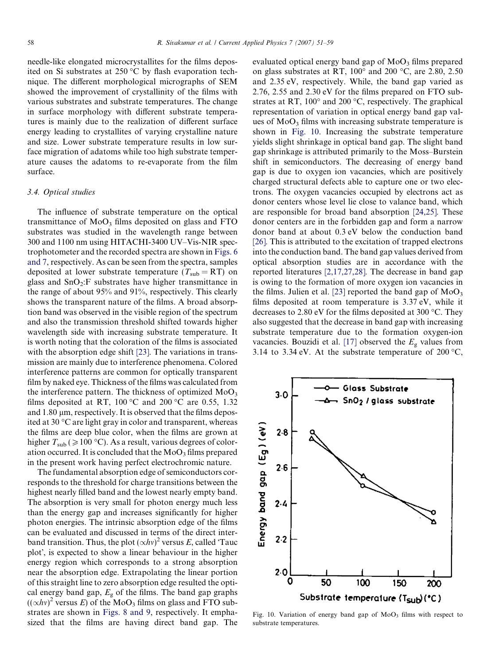needle-like elongated microcrystallites for the films deposited on Si substrates at  $250\,^{\circ}\text{C}$  by flash evaporation technique. The different morphological micrographs of SEM showed the improvement of crystallinity of the films with various substrates and substrate temperatures. The change in surface morphology with different substrate temperatures is mainly due to the realization of different surface energy leading to crystallites of varying crystalline nature and size. Lower substrate temperature results in low surface migration of adatoms while too high substrate temperature causes the adatoms to re-evaporate from the film surface.

# 3.4. Optical studies

The influence of substrate temperature on the optical transmittance of  $MoO<sub>3</sub>$  films deposited on glass and FTO substrates was studied in the wavelength range between 300 and 1100 nm using HITACHI-3400 UV–Vis-NIR spectrophotometer and the recorded spectra are shown in [Figs. 6](#page-4-0) [and 7,](#page-4-0) respectively. As can be seen from the spectra, samples deposited at lower substrate temperature ( $T_{\text{sub}} = RT$ ) on glass and  $SnO<sub>2</sub>:F$  substrates have higher transmittance in the range of about 95% and 91%, respectively. This clearly shows the transparent nature of the films. A broad absorption band was observed in the visible region of the spectrum and also the transmission threshold shifted towards higher wavelength side with increasing substrate temperature. It is worth noting that the coloration of the films is associated with the absorption edge shift [\[23\]](#page-8-0). The variations in transmission are mainly due to interference phenomena. Colored interference patterns are common for optically transparent film by naked eye. Thickness of the films was calculated from the interference pattern. The thickness of optimized  $MoO<sub>3</sub>$ films deposited at RT, 100 °C and 200 °C are 0.55, 1.32 and  $1.80 \mu$ m, respectively. It is observed that the films deposited at 30 °C are light gray in color and transparent, whereas the films are deep blue color, when the films are grown at higher  $T_{\text{sub}} (\geqslant 100 \text{ °C})$ . As a result, various degrees of coloration occurred. It is concluded that the  $MoO<sub>3</sub>$  films prepared in the present work having perfect electrochromic nature.

The fundamental absorption edge of semiconductors corresponds to the threshold for charge transitions between the highest nearly filled band and the lowest nearly empty band. The absorption is very small for photon energy much less than the energy gap and increases significantly for higher photon energies. The intrinsic absorption edge of the films can be evaluated and discussed in terms of the direct interband transition. Thus, the plot  $(\propto\!h\nu)^2$  versus E, called 'Tauc plot, is expected to show a linear behaviour in the higher energy region which corresponds to a strong absorption near the absorption edge. Extrapolating the linear portion of this straight line to zero absorption edge resulted the optical energy band gap,  $E_{\rm g}$  of the films. The band gap graphs  $((\propto h\nu)^2$  versus E) of the MoO<sub>3</sub> films on glass and FTO substrates are shown in [Figs. 8 and 9,](#page-5-0) respectively. It emphasized that the films are having direct band gap. The evaluated optical energy band gap of  $MoO<sub>3</sub>$  films prepared on glass substrates at RT,  $100^{\circ}$  and  $200^{\circ}$ C, are 2.80, 2.50 and 2.35 eV, respectively. While, the band gap varied as 2.76, 2.55 and 2.30 eV for the films prepared on FTO substrates at RT,  $100^{\circ}$  and  $200^{\circ}$ C, respectively. The graphical representation of variation in optical energy band gap values of  $MoO<sub>3</sub>$  films with increasing substrate temperature is shown in Fig. 10. Increasing the substrate temperature yields slight shrinkage in optical band gap. The slight band gap shrinkage is attributed primarily to the Moss–Burstein shift in semiconductors. The decreasing of energy band gap is due to oxygen ion vacancies, which are positively charged structural defects able to capture one or two electrons. The oxygen vacancies occupied by electrons act as donor centers whose level lie close to valance band, which are responsible for broad band absorption [\[24,25\]](#page-8-0). These donor centers are in the forbidden gap and form a narrow donor band at about 0.3 eV below the conduction band [\[26\]](#page-8-0). This is attributed to the excitation of trapped electrons into the conduction band. The band gap values derived from optical absorption studies are in accordance with the reported literatures [\[2,17,27,28\].](#page-8-0) The decrease in band gap is owing to the formation of more oxygen ion vacancies in the films. Julien et al. [\[23\]](#page-8-0) reported the band gap of  $MoO<sub>3</sub>$ films deposited at room temperature is 3.37 eV, while it decreases to 2.80 eV for the films deposited at 300  $^{\circ}$ C. They also suggested that the decrease in band gap with increasing substrate temperature due to the formation oxygen-ion vacancies. Bouzidi et al. [\[17\]](#page-8-0) observed the  $E<sub>g</sub>$  values from 3.14 to 3.34 eV. At the substrate temperature of 200  $^{\circ}$ C,



Fig. 10. Variation of energy band gap of  $MoO<sub>3</sub>$  films with respect to substrate temperatures.